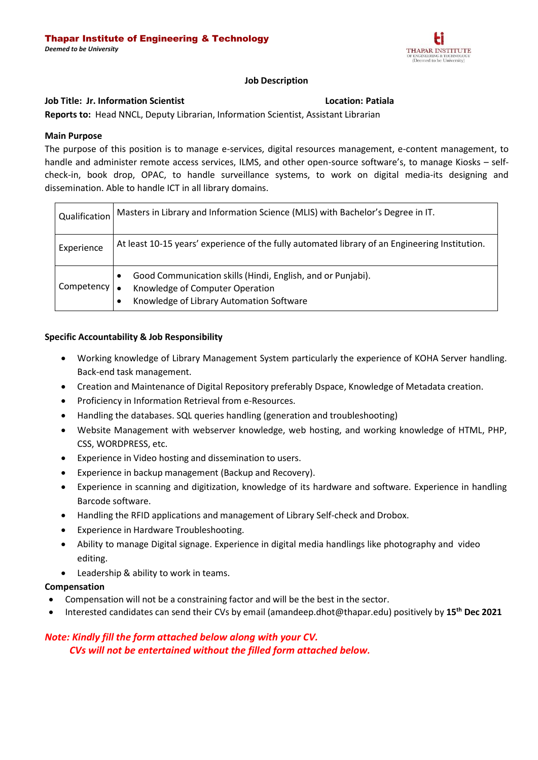

## **Job Description**

#### **Job Title: Jr. Information Scientist Location: Patiala**

**Reports to:** Head NNCL, Deputy Librarian, Information Scientist, Assistant Librarian

### **Main Purpose**

The purpose of this position is to manage e-services, digital resources management, e-content management, to handle and administer remote access services, ILMS, and other open-source software's, to manage Kiosks – selfcheck-in, book drop, OPAC, to handle surveillance systems, to work on digital media-its designing and dissemination. Able to handle ICT in all library domains.

| Qualification  | Masters in Library and Information Science (MLIS) with Bachelor's Degree in IT.                                                                         |
|----------------|---------------------------------------------------------------------------------------------------------------------------------------------------------|
| Experience     | At least 10-15 years' experience of the fully automated library of an Engineering Institution.                                                          |
| Competency   . | Good Communication skills (Hindi, English, and or Punjabi).<br>$\bullet$<br>Knowledge of Computer Operation<br>Knowledge of Library Automation Software |

### **Specific Accountability & Job Responsibility**

- Working knowledge of Library Management System particularly the experience of KOHA Server handling. Back-end task management.
- Creation and Maintenance of Digital Repository preferably Dspace, Knowledge of Metadata creation.
- Proficiency in Information Retrieval from e-Resources.
- Handling the databases. SQL queries handling (generation and troubleshooting)
- Website Management with webserver knowledge, web hosting, and working knowledge of HTML, PHP, CSS, WORDPRESS, etc.
- Experience in Video hosting and dissemination to users.
- Experience in backup management (Backup and Recovery).
- Experience in scanning and digitization, knowledge of its hardware and software. Experience in handling Barcode software.
- Handling the RFID applications and management of Library Self-check and Drobox.
- Experience in Hardware Troubleshooting.
- Ability to manage Digital signage. Experience in digital media handlings like photography and video editing.
- Leadership & ability to work in teams.

# **Compensation**

- Compensation will not be a constraining factor and will be the best in the sector.
- Interested candidates can send their CVs by email [\(amandeep.dhot@thapar.edu\)](mailto:amandeep.dhot@thapar.edu) positively by **15th Dec 2021**

# *Note: Kindly fill the form attached below along with your CV.*

 *CVs will not be entertained without the filled form attached below.*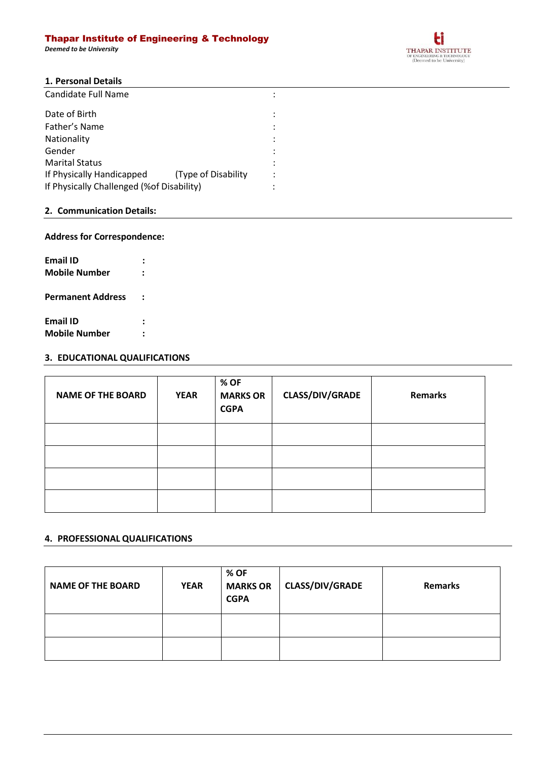*Deemed to be University*



### **1. Personal Details**

| Candidate Full Name                       |                      | $\cdot$ |  |  |
|-------------------------------------------|----------------------|---------|--|--|
| Date of Birth                             |                      | $\cdot$ |  |  |
| Father's Name                             |                      | $\cdot$ |  |  |
| Nationality                               |                      | $\cdot$ |  |  |
| Gender                                    |                      | $\cdot$ |  |  |
| <b>Marital Status</b>                     |                      | $\cdot$ |  |  |
| If Physically Handicapped                 | (Type of Disability) | $\cdot$ |  |  |
| If Physically Challenged (%of Disability) |                      |         |  |  |
|                                           |                      |         |  |  |

# **2. Communication Details:**

## **Address for Correspondence:**

| <b>Email ID</b>          |  |
|--------------------------|--|
| <b>Mobile Number</b>     |  |
|                          |  |
| <b>Permanent Address</b> |  |
|                          |  |
| <b>Email ID</b>          |  |
| <b>Mobile Number</b>     |  |

#### **3. EDUCATIONAL QUALIFICATIONS**

| <b>NAME OF THE BOARD</b> | <b>YEAR</b> | % OF<br><b>MARKS OR</b><br><b>CGPA</b> | <b>CLASS/DIV/GRADE</b> | <b>Remarks</b> |
|--------------------------|-------------|----------------------------------------|------------------------|----------------|
|                          |             |                                        |                        |                |
|                          |             |                                        |                        |                |
|                          |             |                                        |                        |                |
|                          |             |                                        |                        |                |

## **4. PROFESSIONAL QUALIFICATIONS**

| <b>NAME OF THE BOARD</b> | <b>YEAR</b> | % OF<br><b>MARKS OR</b><br><b>CGPA</b> | CLASS/DIV/GRADE | <b>Remarks</b> |
|--------------------------|-------------|----------------------------------------|-----------------|----------------|
|                          |             |                                        |                 |                |
|                          |             |                                        |                 |                |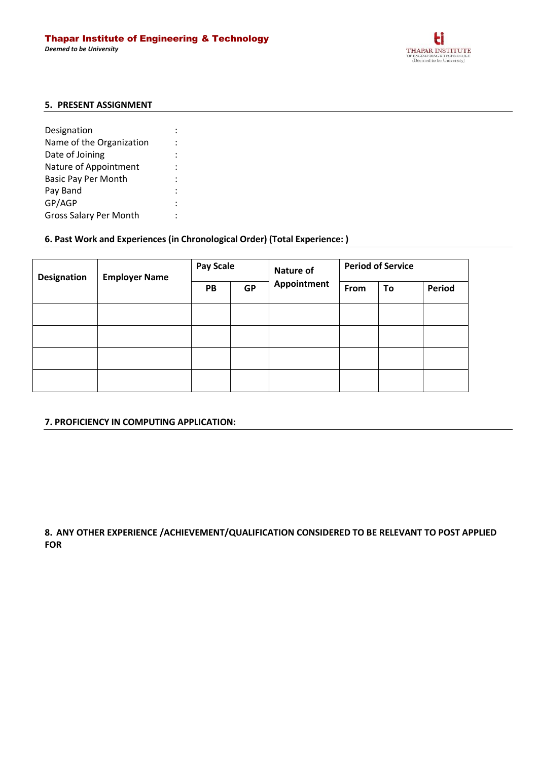

## **5. PRESENT ASSIGNMENT**

Designation : The state of the state of the state of the state of the state of the state of the state of the state of the state of the state of the state of the state of the state of the state of the state of the state of Name of the Organization : Date of Joining in the set of the set of the set of the set of the set of the set of the set of the set of the set of the set of the set of the set of the set of the set of the set of the set of the set of the set of the s Nature of Appointment : Basic Pay Per Month : Pay Band is a set of the set of the set of the set of the set of the set of the set of the set of the set of the set of the set of the set of the set of the set of the set of the set of the set of the set of the set of the GP/AGP : Gross Salary Per Month :

# **6. Past Work and Experiences (in Chronological Order) (Total Experience: )**

| <b>Designation</b> | <b>Employer Name</b> | <b>Pay Scale</b> |           | Nature of   | <b>Period of Service</b> |    |               |
|--------------------|----------------------|------------------|-----------|-------------|--------------------------|----|---------------|
|                    |                      | PB               | <b>GP</b> | Appointment | From                     | To | <b>Period</b> |
|                    |                      |                  |           |             |                          |    |               |
|                    |                      |                  |           |             |                          |    |               |
|                    |                      |                  |           |             |                          |    |               |
|                    |                      |                  |           |             |                          |    |               |

## **7. PROFICIENCY IN COMPUTING APPLICATION:**

**8. ANY OTHER EXPERIENCE /ACHIEVEMENT/QUALIFICATION CONSIDERED TO BE RELEVANT TO POST APPLIED FOR**